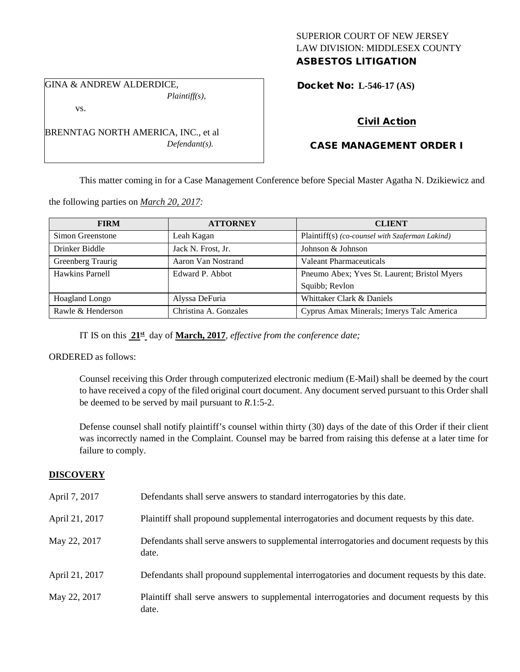## SUPERIOR COURT OF NEW JERSEY LAW DIVISION: MIDDLESEX COUNTY ASBESTOS LITIGATION

GINA & ANDREW ALDERDICE, *Plaintiff(s),*

vs.

BRENNTAG NORTH AMERICA, INC., et al *Defendant(s).*

# Docket No: **L-546-17 (AS)**

## Civil Action

## CASE MANAGEMENT ORDER I

This matter coming in for a Case Management Conference before Special Master Agatha N. Dzikiewicz and

the following parties on *March 20, 2017:*

| <b>FIRM</b>       | <b>ATTORNEY</b>       | <b>CLIENT</b>                                   |
|-------------------|-----------------------|-------------------------------------------------|
| Simon Greenstone  | Leah Kagan            | Plaintiff(s) (co-counsel with Szaferman Lakind) |
| Drinker Biddle    | Jack N. Frost, Jr.    | Johnson & Johnson                               |
| Greenberg Traurig | Aaron Van Nostrand    | Valeant Pharmaceuticals                         |
| Hawkins Parnell   | Edward P. Abbot       | Pneumo Abex; Yves St. Laurent; Bristol Myers    |
|                   |                       | Squibb; Revlon                                  |
| Hoagland Longo    | Alyssa DeFuria        | Whittaker Clark & Daniels                       |
| Rawle & Henderson | Christina A. Gonzales | Cyprus Amax Minerals; Imerys Talc America       |

IT IS on this **21st** day of **March, 2017**, *effective from the conference date;*

ORDERED as follows:

Counsel receiving this Order through computerized electronic medium (E-Mail) shall be deemed by the court to have received a copy of the filed original court document. Any document served pursuant to this Order shall be deemed to be served by mail pursuant to *R*.1:5-2.

Defense counsel shall notify plaintiff's counsel within thirty (30) days of the date of this Order if their client was incorrectly named in the Complaint. Counsel may be barred from raising this defense at a later time for failure to comply.

#### **DISCOVERY**

| April 7, 2017  | Defendants shall serve answers to standard interrogatories by this date.                              |
|----------------|-------------------------------------------------------------------------------------------------------|
| April 21, 2017 | Plaintiff shall propound supplemental interrogatories and document requests by this date.             |
| May 22, 2017   | Defendants shall serve answers to supplemental interrogatories and document requests by this<br>date. |
| April 21, 2017 | Defendants shall propound supplemental interrogatories and document requests by this date.            |
| May 22, 2017   | Plaintiff shall serve answers to supplemental interrogatories and document requests by this<br>date.  |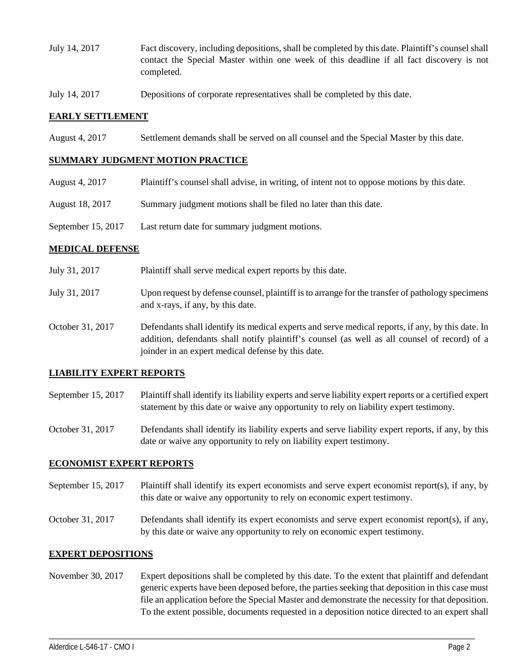- July 14, 2017 Fact discovery, including depositions, shall be completed by this date. Plaintiff's counsel shall contact the Special Master within one week of this deadline if all fact discovery is not completed.
- July 14, 2017 Depositions of corporate representatives shall be completed by this date.

### **EARLY SETTLEMENT**

August 4, 2017 Settlement demands shall be served on all counsel and the Special Master by this date.

#### **SUMMARY JUDGMENT MOTION PRACTICE**

- August 4, 2017 Plaintiff's counsel shall advise, in writing, of intent not to oppose motions by this date.
- August 18, 2017 Summary judgment motions shall be filed no later than this date.
- September 15, 2017 Last return date for summary judgment motions.

### **MEDICAL DEFENSE**

- July 31, 2017 Plaintiff shall serve medical expert reports by this date.
- July 31, 2017 Upon request by defense counsel, plaintiff is to arrange for the transfer of pathology specimens and x-rays, if any, by this date.
- October 31, 2017 Defendants shall identify its medical experts and serve medical reports, if any, by this date. In addition, defendants shall notify plaintiff's counsel (as well as all counsel of record) of a joinder in an expert medical defense by this date.

## **LIABILITY EXPERT REPORTS**

September 15, 2017 Plaintiff shall identify its liability experts and serve liability expert reports or a certified expert statement by this date or waive any opportunity to rely on liability expert testimony.

October 31, 2017 Defendants shall identify its liability experts and serve liability expert reports, if any, by this date or waive any opportunity to rely on liability expert testimony.

#### **ECONOMIST EXPERT REPORTS**

- September 15, 2017 Plaintiff shall identify its expert economists and serve expert economist report(s), if any, by this date or waive any opportunity to rely on economic expert testimony.
- October 31, 2017 Defendants shall identify its expert economists and serve expert economist report(s), if any, by this date or waive any opportunity to rely on economic expert testimony.

#### **EXPERT DEPOSITIONS**

November 30, 2017 Expert depositions shall be completed by this date. To the extent that plaintiff and defendant generic experts have been deposed before, the parties seeking that deposition in this case must file an application before the Special Master and demonstrate the necessity for that deposition. To the extent possible, documents requested in a deposition notice directed to an expert shall

\_\_\_\_\_\_\_\_\_\_\_\_\_\_\_\_\_\_\_\_\_\_\_\_\_\_\_\_\_\_\_\_\_\_\_\_\_\_\_\_\_\_\_\_\_\_\_\_\_\_\_\_\_\_\_\_\_\_\_\_\_\_\_\_\_\_\_\_\_\_\_\_\_\_\_\_\_\_\_\_\_\_\_\_\_\_\_\_\_\_\_\_\_\_\_\_\_\_\_\_\_\_\_\_\_\_\_\_\_\_